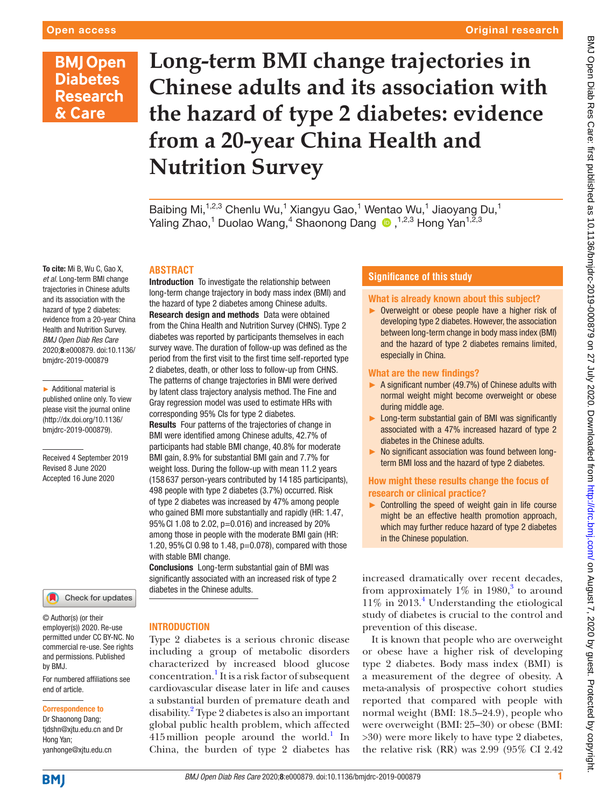## Original research

# **BMJ Open Diabetes Research** & Care

# **Long-term BMI change trajectories in Chinese adults and its association with the hazard of type 2 diabetes: evidence from a 20-year China Health and Nutrition Survey**

Baibing Mi,<sup>1,2,3</sup> Chenlu Wu,<sup>1</sup> Xiangyu Gao,<sup>1</sup> Wentao Wu,<sup>1</sup> Jiaoyang Du,<sup>1</sup> Yaling Zhao,<sup>1</sup> Duolao Wang,4 Shaonong Dang,1,2,3 Hong Yan1,2,3

To cite: Mi B, Wu C, Gao X, *et al*. Long-term BMI change trajectories in Chinese adults and its association with the hazard of type 2 diabetes: evidence from a 20-year China Health and Nutrition Survey. *BMJ Open Diab Res Care* 2020;8:e000879. doi:10.1136/ bmjdrc-2019-000879

► Additional material is published online only. To view please visit the journal online (http://dx.doi.org/10.1136/ bmjdrc-2019-000879).

Received 4 September 2019 Revised 8 June 2020 Accepted 16 June 2020

Check for updates

© Author(s) (or their employer(s)) 2020. Re-use permitted under CC BY-NC. No commercial re-use. See rights and permissions. Published by BMJ.

For numbered affiliations see end of article.

#### Correspondence to

Dr Shaonong Dang; tjdshn@xjtu.edu.cn and Dr Hong Yan; yanhonge@xjtu.edu.cn

# **ABSTRACT**

Introduction To investigate the relationship between long-term change trajectory in body mass index (BMI) and the hazard of type 2 diabetes among Chinese adults. Research design and methods Data were obtained from the China Health and Nutrition Survey (CHNS). Type 2 diabetes was reported by participants themselves in each survey wave. The duration of follow-up was defined as the period from the first visit to the first time self-reported type 2 diabetes, death, or other loss to follow-up from CHNS. The patterns of change trajectories in BMI were derived by latent class trajectory analysis method. The Fine and Gray regression model was used to estimate HRs with corresponding 95% CIs for type 2 diabetes.

Results Four patterns of the trajectories of change in BMI were identified among Chinese adults, 42.7% of participants had stable BMI change, 40.8% for moderate BMI gain, 8.9% for substantial BMI gain and 7.7% for weight loss. During the follow-up with mean 11.2 years (158 637 person-years contributed by 14 185 participants), 498 people with type 2 diabetes (3.7%) occurred. Risk of type 2 diabetes was increased by 47% among people who gained BMI more substantially and rapidly (HR: 1.47, 95%CI 1.08 to 2.02, p=0.016) and increased by 20% among those in people with the moderate BMI gain (HR: 1.20, 95%CI 0.98 to 1.48, p=0.078), compared with those with stable BMI change.

Conclusions Long-term substantial gain of BMI was significantly associated with an increased risk of type 2 diabetes in the Chinese adults.

#### **INTRODUCTION**

Type 2 diabetes is a serious chronic disease including a group of metabolic disorders characterized by increased blood glucose concentration.<sup>[1](#page-9-0)</sup> It is a risk factor of subsequent cardiovascular disease later in life and causes a substantial burden of premature death and disability.[2](#page-9-1) Type 2 diabetes is also an important global public health problem, which affected  $415$  million people around the world.<sup>1</sup> In China, the burden of type 2 diabetes has

### **Significance of this study**

#### What is already known about this subject?

► Overweight or obese people have a higher risk of developing type 2 diabetes. However, the association between long-term change in body mass index (BMI) and the hazard of type 2 diabetes remains limited, especially in China.

#### What are the new findings?

- ► A significant number (49.7%) of Chinese adults with normal weight might become overweight or obese during middle age.
- ► Long-term substantial gain of BMI was significantly associated with a 47% increased hazard of type 2 diabetes in the Chinese adults.
- ► No significant association was found between longterm BMI loss and the hazard of type 2 diabetes.

# How might these results change the focus of research or clinical practice?

► Controlling the speed of weight gain in life course might be an effective health promotion approach, which may further reduce hazard of type 2 diabetes in the Chinese population.

increased dramatically over recent decades, from approximately  $1\%$  in 1980,<sup>[3](#page-9-2)</sup> to around 11% in 2013.[4](#page-9-3) Understanding the etiological study of diabetes is crucial to the control and prevention of this disease.

It is known that people who are overweight or obese have a higher risk of developing type 2 diabetes. Body mass index (BMI) is a measurement of the degree of obesity. A meta-analysis of prospective cohort studies reported that compared with people with normal weight (BMI: 18.5–24.9), people who were overweight (BMI: 25–30) or obese (BMI: >30) were more likely to have type 2 diabetes, the relative risk (RR) was 2.99 (95% CI 2.42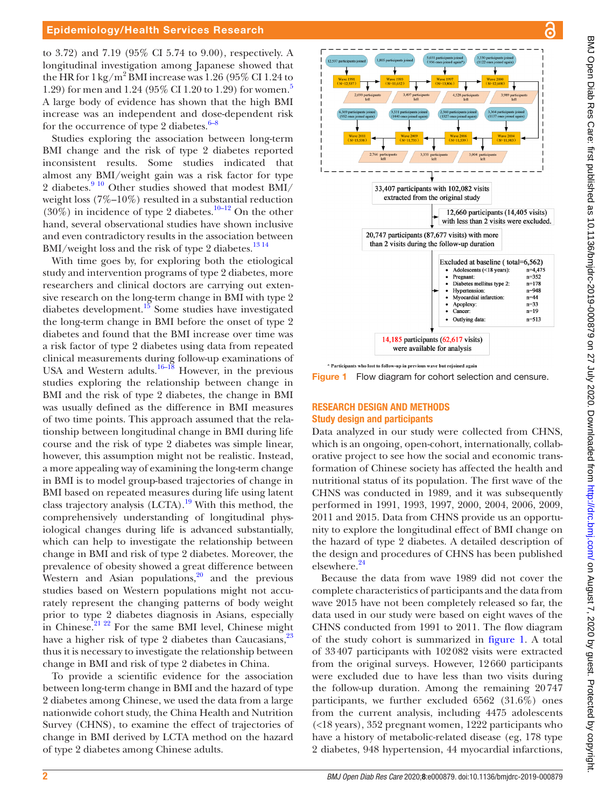to 3.72) and 7.19 (95% CI 5.74 to 9.00), respectively. A longitudinal investigation among Japanese showed that the HR for  $1 \text{ kg/m}^2$  BMI increase was 1.26 (95% CI 1.24 to 1.29) for men and 1.24 (9[5](#page-9-4)% CI 1.20 to 1.29) for women.<sup>5</sup> A large body of evidence has shown that the high BMI increase was an independent and dose-dependent risk for the occurrence of type 2 diabetes. $6-8$ 

Studies exploring the association between long-term BMI change and the risk of type 2 diabetes reported inconsistent results. Some studies indicated that almost any BMI/weight gain was a risk factor for type 2 diabetes.<sup>9 10</sup> Other studies showed that modest BMI/ weight loss (7%–10%) resulted in a substantial reduction (30%) in incidence of type 2 diabetes.<sup>10–12</sup> On the other hand, several observational studies have shown inclusive and even contradictory results in the association between BMI/weight loss and the risk of type 2 diabetes.<sup>[13 14](#page-9-8)</sup>

With time goes by, for exploring both the etiological study and intervention programs of type 2 diabetes, more researchers and clinical doctors are carrying out extensive research on the long-term change in BMI with type 2 diabetes development.<sup>15</sup> Some studies have investigated the long-term change in BMI before the onset of type 2 diabetes and found that the BMI increase over time was a risk factor of type 2 diabetes using data from repeated clinical measurements during follow-up examinations of USA and Western adults. $16-\overline{18}$  However, in the previous studies exploring the relationship between change in BMI and the risk of type 2 diabetes, the change in BMI was usually defined as the difference in BMI measures of two time points. This approach assumed that the relationship between longitudinal change in BMI during life course and the risk of type 2 diabetes was simple linear, however, this assumption might not be realistic. Instead, a more appealing way of examining the long-term change in BMI is to model group-based trajectories of change in BMI based on repeated measures during life using latent class trajectory analysis (LCTA).[19](#page-9-11) With this method, the comprehensively understanding of longitudinal physiological changes during life is advanced substantially, which can help to investigate the relationship between change in BMI and risk of type 2 diabetes. Moreover, the prevalence of obesity showed a great difference between Western and Asian populations, $2^0$  and the previous studies based on Western populations might not accurately represent the changing patterns of body weight prior to type 2 diabetes diagnosis in Asians, especially in Chinese.<sup>21 22</sup> For the same BMI level, Chinese might have a higher risk of type 2 diabetes than Caucasians,  $2^3$ thus it is necessary to investigate the relationship between change in BMI and risk of type 2 diabetes in China.

To provide a scientific evidence for the association between long-term change in BMI and the hazard of type 2 diabetes among Chinese, we used the data from a large nationwide cohort study, the China Health and Nutrition Survey (CHNS), to examine the effect of trajectories of change in BMI derived by LCTA method on the hazard of type 2 diabetes among Chinese adults.



<span id="page-1-0"></span>Figure 1 Flow diagram for cohort selection and censure.

# RESEARCH DESIGN AND METHODS Study design and participants

Data analyzed in our study were collected from CHNS, which is an ongoing, open-cohort, internationally, collaborative project to see how the social and economic transformation of Chinese society has affected the health and nutritional status of its population. The first wave of the CHNS was conducted in 1989, and it was subsequently performed in 1991, 1993, 1997, 2000, 2004, 2006, 2009, 2011 and 2015. Data from CHNS provide us an opportunity to explore the longitudinal effect of BMI change on the hazard of type 2 diabetes. A detailed description of the design and procedures of CHNS has been published elsewhere[.24](#page-9-15)

Because the data from wave 1989 did not cover the complete characteristics of participants and the data from wave 2015 have not been completely released so far, the data used in our study were based on eight waves of the CHNS conducted from 1991 to 2011. The flow diagram of the study cohort is summarized in [figure](#page-1-0) 1. A total of 33407 participants with 102082 visits were extracted from the original surveys. However, 12660 participants were excluded due to have less than two visits during the follow-up duration. Among the remaining 20747 participants, we further excluded 6562 (31.6%) ones from the current analysis, including 4475 adolescents (<18 years), 352 pregnant women, 1222 participants who have a history of metabolic-related disease (eg, 178 type 2 diabetes, 948 hypertension, 44 myocardial infarctions,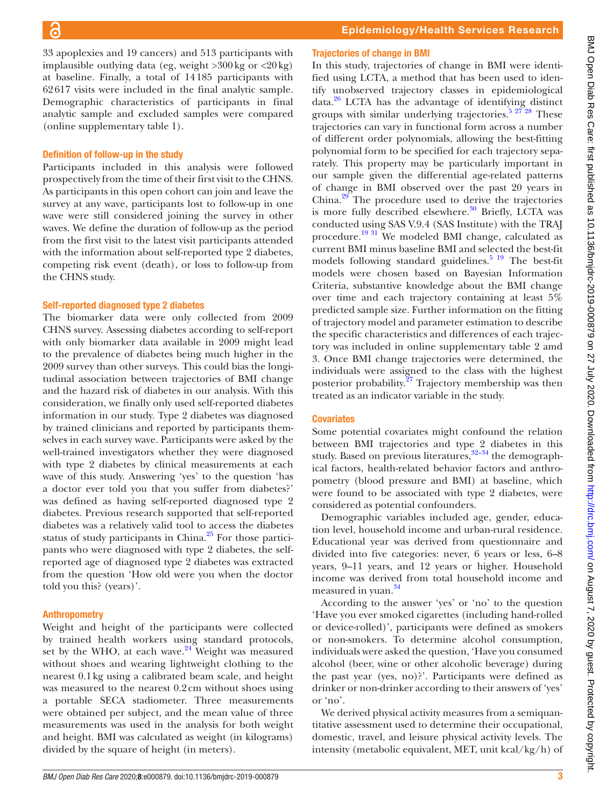33 apoplexies and 19 cancers) and 513 participants with implausible outlying data (eg, weight  $>300 \text{ kg}$  or  $< 20 \text{ kg}$ ) at baseline. Finally, a total of 14185 participants with 62617 visits were included in the final analytic sample. Demographic characteristics of participants in final analytic sample and excluded samples were compared [\(online supplementary table 1\)](https://dx.doi.org/10.1136/bmjdrc-2019-000879).

### Definition of follow-up in the study

Participants included in this analysis were followed prospectively from the time of their first visit to the CHNS. As participants in this open cohort can join and leave the survey at any wave, participants lost to follow-up in one wave were still considered joining the survey in other waves. We define the duration of follow-up as the period from the first visit to the latest visit participants attended with the information about self-reported type 2 diabetes, competing risk event (death), or loss to follow-up from the CHNS study.

#### Self-reported diagnosed type 2 diabetes

The biomarker data were only collected from 2009 CHNS survey. Assessing diabetes according to self-report with only biomarker data available in 2009 might lead to the prevalence of diabetes being much higher in the 2009 survey than other surveys. This could bias the longitudinal association between trajectories of BMI change and the hazard risk of diabetes in our analysis. With this consideration, we finally only used self-reported diabetes information in our study. Type 2 diabetes was diagnosed by trained clinicians and reported by participants themselves in each survey wave. Participants were asked by the well-trained investigators whether they were diagnosed with type 2 diabetes by clinical measurements at each wave of this study. Answering 'yes' to the question 'has a doctor ever told you that you suffer from diabetes?' was defined as having self-reported diagnosed type 2 diabetes. Previous research supported that self-reported diabetes was a relatively valid tool to access the diabetes status of study participants in China. $^{25}$  For those participants who were diagnosed with type 2 diabetes, the selfreported age of diagnosed type 2 diabetes was extracted from the question 'How old were you when the doctor told you this? (years)'.

# Anthropometry

Weight and height of the participants were collected by trained health workers using standard protocols, set by the WHO, at each wave.<sup>[24](#page-9-15)</sup> Weight was measured without shoes and wearing lightweight clothing to the nearest 0.1kg using a calibrated beam scale, and height was measured to the nearest 0.2cm without shoes using a portable SECA stadiometer. Three measurements were obtained per subject, and the mean value of three measurements was used in the analysis for both weight and height. BMI was calculated as weight (in kilograms) divided by the square of height (in meters).

# Trajectories of change in BMI

In this study, trajectories of change in BMI were identified using LCTA, a method that has been used to identify unobserved trajectory classes in epidemiological  $data.<sup>26</sup> LCTA has the advantage of identifying distinct$ groups with similar underlying trajectories.<sup>5 27 28</sup> These trajectories can vary in functional form across a number of different order polynomials, allowing the best-fitting polynomial form to be specified for each trajectory separately. This property may be particularly important in our sample given the differential age-related patterns of change in BMI observed over the past 20 years in China.[29](#page-9-18) The procedure used to derive the trajectories is more fully described elsewhere.<sup>30</sup> Briefly, LCTA was conducted using SAS V.9.4 (SAS Institute) with the TRAJ procedure.[19 31](#page-9-11) We modeled BMI change, calculated as current BMI minus baseline BMI and selected the best-fit models following standard guidelines.<sup>5</sup> <sup>19</sup> The best-fit models were chosen based on Bayesian Information Criteria, substantive knowledge about the BMI change over time and each trajectory containing at least 5% predicted sample size. Further information on the fitting of trajectory model and parameter estimation to describe the specific characteristics and differences of each trajectory was included in [online supplementary table 2 amd](https://dx.doi.org/10.1136/bmjdrc-2019-000879) [3](https://dx.doi.org/10.1136/bmjdrc-2019-000879). Once BMI change trajectories were determined, the individuals were assigned to the class with the highest posterior probability.<sup>27</sup> Trajectory membership was then treated as an indicator variable in the study.

# **Covariates**

Some potential covariates might confound the relation between BMI trajectories and type 2 diabetes in this study. Based on previous literatures,<sup>[32–34](#page-9-21)</sup> the demographical factors, health-related behavior factors and anthropometry (blood pressure and BMI) at baseline, which were found to be associated with type 2 diabetes, were considered as potential confounders.

Demographic variables included age, gender, education level, household income and urban-rural residence. Educational year was derived from questionnaire and divided into five categories: never, 6 years or less, 6–8 years, 9–11 years, and 12 years or higher. Household income was derived from total household income and measured in yuan.<sup>[34](#page-9-22)</sup>

According to the answer 'yes' or 'no' to the question 'Have you ever smoked cigarettes (including hand-rolled or device-rolled)', participants were defined as smokers or non-smokers. To determine alcohol consumption, individuals were asked the question, 'Have you consumed alcohol (beer, wine or other alcoholic beverage) during the past year (yes, no)?'. Participants were defined as drinker or non-drinker according to their answers of 'yes' or 'no'.

We derived physical activity measures from a semiquantitative assessment used to determine their occupational, domestic, travel, and leisure physical activity levels. The intensity (metabolic equivalent, MET, unit kcal/kg/h) of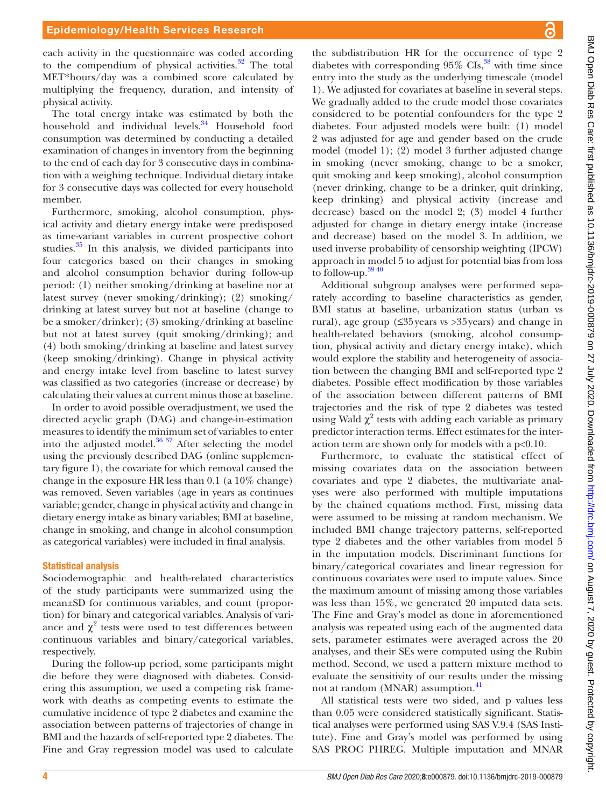each activity in the questionnaire was coded according to the compendium of physical activities. $32$  The total MET\*hours/day was a combined score calculated by multiplying the frequency, duration, and intensity of physical activity.

The total energy intake was estimated by both the household and individual levels.<sup>34</sup> Household food consumption was determined by conducting a detailed examination of changes in inventory from the beginning to the end of each day for 3 consecutive days in combination with a weighing technique. Individual dietary intake for 3 consecutive days was collected for every household member.

Furthermore, smoking, alcohol consumption, physical activity and dietary energy intake were predisposed as time-variant variables in current prospective cohort studies. $35$  In this analysis, we divided participants into four categories based on their changes in smoking and alcohol consumption behavior during follow-up period: (1) neither smoking/drinking at baseline nor at latest survey (never smoking/drinking); (2) smoking/ drinking at latest survey but not at baseline (change to be a smoker/drinker); (3) smoking/drinking at baseline but not at latest survey (quit smoking/drinking); and (4) both smoking/drinking at baseline and latest survey (keep smoking/drinking). Change in physical activity and energy intake level from baseline to latest survey was classified as two categories (increase or decrease) by calculating their values at current minus those at baseline.

In order to avoid possible overadjustment, we used the directed acyclic graph (DAG) and change-in-estimation measures to identify the minimum set of variables to enter into the adjusted model.<sup>36 37</sup> After selecting the model using the previously described DAG [\(online supplemen](https://dx.doi.org/10.1136/bmjdrc-2019-000879)[tary figure 1](https://dx.doi.org/10.1136/bmjdrc-2019-000879)), the covariate for which removal caused the change in the exposure HR less than 0.1 (a 10% change) was removed. Seven variables (age in years as continues variable; gender, change in physical activity and change in dietary energy intake as binary variables; BMI at baseline, change in smoking, and change in alcohol consumption as categorical variables) were included in final analysis.

#### Statistical analysis

Sociodemographic and health-related characteristics of the study participants were summarized using the mean±SD for continuous variables, and count (proportion) for binary and categorical variables. Analysis of variance and  $\chi^2$  tests were used to test differences between continuous variables and binary/categorical variables, respectively.

During the follow-up period, some participants might die before they were diagnosed with diabetes. Considering this assumption, we used a competing risk framework with deaths as competing events to estimate the cumulative incidence of type 2 diabetes and examine the association between patterns of trajectories of change in BMI and the hazards of self-reported type 2 diabetes. The Fine and Gray regression model was used to calculate

the subdistribution HR for the occurrence of type 2 diabetes with corresponding  $95\%$  CIs,<sup>[38](#page-9-25)</sup> with time since entry into the study as the underlying timescale (model 1). We adjusted for covariates at baseline in several steps. We gradually added to the crude model those covariates considered to be potential confounders for the type 2 diabetes. Four adjusted models were built: (1) model 2 was adjusted for age and gender based on the crude model (model 1); (2) model 3 further adjusted change in smoking (never smoking, change to be a smoker, quit smoking and keep smoking), alcohol consumption (never drinking, change to be a drinker, quit drinking, keep drinking) and physical activity (increase and decrease) based on the model 2; (3) model 4 further adjusted for change in dietary energy intake (increase and decrease) based on the model 3. In addition, we used inverse probability of censorship weighting (IPCW) approach in model 5 to adjust for potential bias from loss to follow-up.<sup>[39 40](#page-9-26)</sup>

Additional subgroup analyses were performed separately according to baseline characteristics as gender, BMI status at baseline, urbanization status (urban vs rural), age group (≤35years vs >35years) and change in health-related behaviors (smoking, alcohol consumption, physical activity and dietary energy intake), which would explore the stability and heterogeneity of association between the changing BMI and self-reported type 2 diabetes. Possible effect modification by those variables of the association between different patterns of BMI trajectories and the risk of type 2 diabetes was tested using Wald  $\chi^2$  tests with adding each variable as primary predictor interaction terms. Effect estimates for the interaction term are shown only for models with a p<0.10.

Furthermore, to evaluate the statistical effect of missing covariates data on the association between covariates and type 2 diabetes, the multivariate analyses were also performed with multiple imputations by the chained equations method. First, missing data were assumed to be missing at random mechanism. We included BMI change trajectory patterns, self-reported type 2 diabetes and the other variables from model 5 in the imputation models. Discriminant functions for binary/categorical covariates and linear regression for continuous covariates were used to impute values. Since the maximum amount of missing among those variables was less than 15%, we generated 20 imputed data sets. The Fine and Gray's model as done in aforementioned analysis was repeated using each of the augmented data sets, parameter estimates were averaged across the 20 analyses, and their SEs were computed using the Rubin method. Second, we used a pattern mixture method to evaluate the sensitivity of our results under the missing not at random (MNAR) assumption.<sup>[41](#page-9-27)</sup>

All statistical tests were two sided, and p values less than 0.05 were considered statistically significant. Statistical analyses were performed using SAS V.9.4 (SAS Institute). Fine and Gray's model was performed by using SAS PROC PHREG. Multiple imputation and MNAR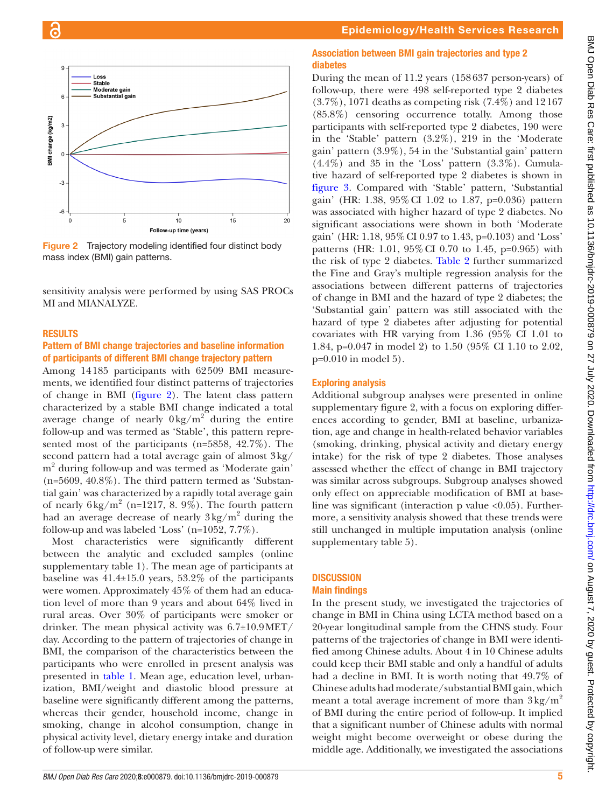

<span id="page-4-0"></span>Figure 2 Trajectory modeling identified four distinct body mass index (BMI) gain patterns.

sensitivity analysis were performed by using SAS PROCs MI and MIANALYZE.

## RESULTS

# Pattern of BMI change trajectories and baseline information of participants of different BMI change trajectory pattern

Among 14185 participants with 62509 BMI measurements, we identified four distinct patterns of trajectories of change in BMI ([figure](#page-4-0) 2). The latent class pattern characterized by a stable BMI change indicated a total average change of nearly  $0 \text{ kg/m}^2$  during the entire follow-up and was termed as 'Stable', this pattern represented most of the participants (n=5858, 42.7%). The second pattern had a total average gain of almost 3kg/ m2 during follow-up and was termed as 'Moderate gain' (n=5609, 40.8%). The third pattern termed as 'Substantial gain' was characterized by a rapidly total average gain of nearly  $6\,\text{kg/m}^2$  (n=1217, 8. 9%). The fourth pattern had an average decrease of nearly  $3 \text{ kg/m}^2$  during the follow-up and was labeled 'Loss' (n=1052, 7.7%).

Most characteristics were significantly different between the analytic and excluded samples [\(online](https://dx.doi.org/10.1136/bmjdrc-2019-000879) [supplementary table 1](https://dx.doi.org/10.1136/bmjdrc-2019-000879)). The mean age of participants at baseline was 41.4±15.0 years, 53.2% of the participants were women. Approximately 45% of them had an education level of more than 9 years and about 64% lived in rural areas. Over 30% of participants were smoker or drinker. The mean physical activity was 6.7±10.9MET/ day. According to the pattern of trajectories of change in BMI, the comparison of the characteristics between the participants who were enrolled in present analysis was presented in [table](#page-5-0) 1. Mean age, education level, urbanization, BMI/weight and diastolic blood pressure at baseline were significantly different among the patterns, whereas their gender, household income, change in smoking, change in alcohol consumption, change in physical activity level, dietary energy intake and duration of follow-up were similar.

#### Association between BMI gain trajectories and type 2 diabetes

During the mean of 11.2 years (158637 person-years) of follow-up, there were 498 self-reported type 2 diabetes (3.7%), 1071 deaths as competing risk (7.4%) and 12167 (85.8%) censoring occurrence totally. Among those participants with self-reported type 2 diabetes, 190 were in the 'Stable' pattern (3.2%), 219 in the 'Moderate gain' pattern (3.9%), 54 in the 'Substantial gain' pattern  $(4.4\%)$  and 35 in the 'Loss' pattern  $(3.3\%)$ . Cumulative hazard of self-reported type 2 diabetes is shown in [figure](#page-6-0) 3. Compared with 'Stable' pattern, 'Substantial gain' (HR: 1.38, 95%CI 1.02 to 1.87, p=0.036) pattern was associated with higher hazard of type 2 diabetes. No significant associations were shown in both 'Moderate gain' (HR: 1.18, 95%CI 0.97 to 1.43, p=0.103) and 'Loss' patterns (HR: 1.01, 95%CI 0.70 to 1.45, p=0.965) with the risk of type 2 diabetes. [Table](#page-7-0) 2 further summarized the Fine and Gray's multiple regression analysis for the associations between different patterns of trajectories of change in BMI and the hazard of type 2 diabetes; the 'Substantial gain' pattern was still associated with the hazard of type 2 diabetes after adjusting for potential covariates with HR varying from 1.36 (95% CI 1.01 to 1.84, p=0.047 in model 2) to 1.50 (95% CI 1.10 to 2.02, p=0.010 in model 5).

#### Exploring analysis

Additional subgroup analyses were presented in [online](https://dx.doi.org/10.1136/bmjdrc-2019-000879) [supplementary figure 2](https://dx.doi.org/10.1136/bmjdrc-2019-000879), with a focus on exploring differences according to gender, BMI at baseline, urbanization, age and change in health-related behavior variables (smoking, drinking, physical activity and dietary energy intake) for the risk of type 2 diabetes. Those analyses assessed whether the effect of change in BMI trajectory was similar across subgroups. Subgroup analyses showed only effect on appreciable modification of BMI at baseline was significant (interaction p value  $\langle 0.05 \rangle$ ). Furthermore, a sensitivity analysis showed that these trends were still unchanged in multiple imputation analysis [\(online](https://dx.doi.org/10.1136/bmjdrc-2019-000879) [supplementary table 5](https://dx.doi.org/10.1136/bmjdrc-2019-000879)).

# **DISCUSSION**

# Main findings

In the present study, we investigated the trajectories of change in BMI in China using LCTA method based on a 20-year longitudinal sample from the CHNS study. Four patterns of the trajectories of change in BMI were identified among Chinese adults. About 4 in 10 Chinese adults could keep their BMI stable and only a handful of adults had a decline in BMI. It is worth noting that 49.7% of Chinese adults had moderate/substantial BMI gain, which meant a total average increment of more than  $3 \text{ kg/m}^2$ of BMI during the entire period of follow-up. It implied that a significant number of Chinese adults with normal weight might become overweight or obese during the middle age. Additionally, we investigated the associations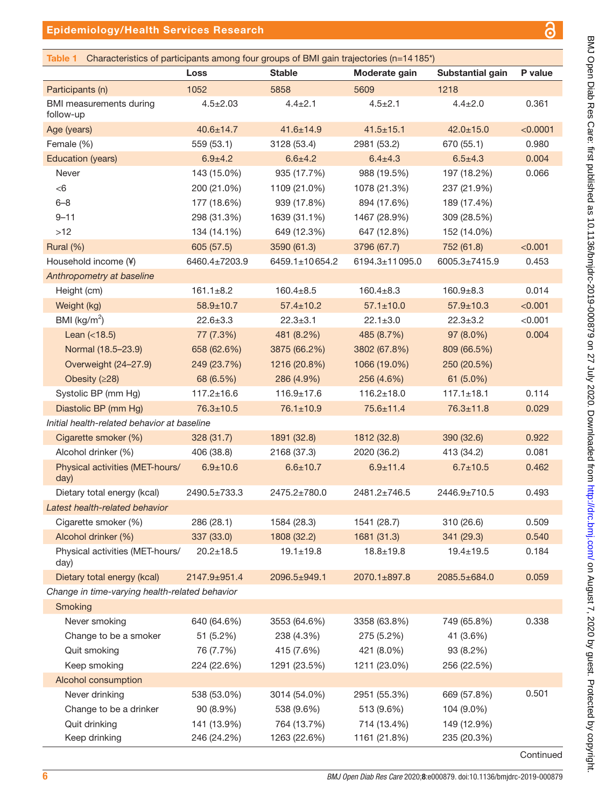$\overline{u}$ 

<span id="page-5-0"></span>

|                                                | Loss             | <b>Stable</b>    | Moderate gain    | Substantial gain | P value  |
|------------------------------------------------|------------------|------------------|------------------|------------------|----------|
| Participants (n)                               | 1052             | 5858             | 5609             | 1218             |          |
| BMI measurements during<br>follow-up           | $4.5 \pm 2.03$   | $4.4 \pm 2.1$    | $4.5 \pm 2.1$    | $4.4 \pm 2.0$    | 0.361    |
| Age (years)                                    | $40.6 \pm 14.7$  | $41.6 \pm 14.9$  | $41.5 \pm 15.1$  | $42.0 \pm 15.0$  | < 0.0001 |
| Female (%)                                     | 559 (53.1)       | 3128 (53.4)      | 2981 (53.2)      | 670 (55.1)       | 0.980    |
| <b>Education (years)</b>                       | $6.9 + 4.2$      | $6.6 \pm 4.2$    | $6.4 \pm 4.3$    | $6.5 \pm 4.3$    | 0.004    |
| Never                                          | 143 (15.0%)      | 935 (17.7%)      | 988 (19.5%)      | 197 (18.2%)      | 0.066    |
| < 6                                            | 200 (21.0%)      | 1109 (21.0%)     | 1078 (21.3%)     | 237 (21.9%)      |          |
| $6 - 8$                                        | 177 (18.6%)      | 939 (17.8%)      | 894 (17.6%)      | 189 (17.4%)      |          |
| $9 - 11$                                       | 298 (31.3%)      | 1639 (31.1%)     | 1467 (28.9%)     | 309 (28.5%)      |          |
| $>12$                                          | 134 (14.1%)      | 649 (12.3%)      | 647 (12.8%)      | 152 (14.0%)      |          |
| Rural (%)                                      | 605 (57.5)       | 3590 (61.3)      | 3796 (67.7)      | 752 (61.8)       | < 0.001  |
| Household income (¥)                           | 6460.4±7203.9    | 6459.1±10654.2   | 6194.3±11095.0   | 6005.3±7415.9    | 0.453    |
| Anthropometry at baseline                      |                  |                  |                  |                  |          |
| Height (cm)                                    | $161.1 \pm 8.2$  | $160.4 \pm 8.5$  | $160.4 \pm 8.3$  | $160.9 + 8.3$    | 0.014    |
| Weight (kg)                                    | $58.9 \pm 10.7$  | $57.4 \pm 10.2$  | $57.1 \pm 10.0$  | $57.9 \pm 10.3$  | < 0.001  |
| BMI ( $\text{kg/m}^2$ )                        | $22.6 \pm 3.3$   | $22.3 \pm 3.1$   | $22.1 \pm 3.0$   | $22.3 + 3.2$     | < 0.001  |
| Lean $(<18.5)$                                 | 77 (7.3%)        | 481 (8.2%)       | 485 (8.7%)       | 97 (8.0%)        | 0.004    |
| Normal (18.5-23.9)                             | 658 (62.6%)      | 3875 (66.2%)     | 3802 (67.8%)     | 809 (66.5%)      |          |
| Overweight (24-27.9)                           | 249 (23.7%)      | 1216 (20.8%)     | 1066 (19.0%)     | 250 (20.5%)      |          |
| Obesity $(28)$                                 | 68 (6.5%)        | 286 (4.9%)       | 256 (4.6%)       | 61 (5.0%)        |          |
| Systolic BP (mm Hg)                            | $117.2 \pm 16.6$ | $116.9 \pm 17.6$ | $116.2 \pm 18.0$ | $117.1 \pm 18.1$ | 0.114    |
| Diastolic BP (mm Hg)                           | $76.3 \pm 10.5$  | $76.1 \pm 10.9$  | 75.6±11.4        | $76.3 \pm 11.8$  | 0.029    |
| Initial health-related behavior at baseline    |                  |                  |                  |                  |          |
| Cigarette smoker (%)                           | 328 (31.7)       | 1891 (32.8)      | 1812 (32.8)      | 390 (32.6)       | 0.922    |
| Alcohol drinker (%)                            | 406 (38.8)       | 2168 (37.3)      | 2020 (36.2)      | 413 (34.2)       | 0.081    |
| Physical activities (MET-hours/<br>day)        | $6.9 + 10.6$     | $6.6 \pm 10.7$   | $6.9 \pm 11.4$   | $6.7 \pm 10.5$   | 0.462    |
| Dietary total energy (kcal)                    | 2490.5±733.3     | 2475.2±780.0     | 2481.2±746.5     | 2446.9±710.5     | 0.493    |
| Latest health-related behavior                 |                  |                  |                  |                  |          |
| Cigarette smoker (%)                           | 286 (28.1)       | 1584 (28.3)      | 1541 (28.7)      | 310 (26.6)       | 0.509    |
| Alcohol drinker (%)                            | 337 (33.0)       | 1808 (32.2)      | 1681 (31.3)      | 341 (29.3)       | 0.540    |
| Physical activities (MET-hours/<br>day)        | $20.2 \pm 18.5$  | $19.1 \pm 19.8$  | $18.8 \pm 19.8$  | $19.4 \pm 19.5$  | 0.184    |
| Dietary total energy (kcal)                    | 2147.9±951.4     | 2096.5±949.1     | 2070.1±897.8     | 2085.5±684.0     | 0.059    |
| Change in time-varying health-related behavior |                  |                  |                  |                  |          |
| Smoking                                        |                  |                  |                  |                  |          |
| Never smoking                                  | 640 (64.6%)      | 3553 (64.6%)     | 3358 (63.8%)     | 749 (65.8%)      | 0.338    |
| Change to be a smoker                          | 51 (5.2%)        | 238 (4.3%)       | 275 (5.2%)       | 41 (3.6%)        |          |
| Quit smoking                                   | 76 (7.7%)        | 415 (7.6%)       | 421 (8.0%)       | 93 (8.2%)        |          |
| Keep smoking                                   | 224 (22.6%)      | 1291 (23.5%)     | 1211 (23.0%)     | 256 (22.5%)      |          |
| Alcohol consumption                            |                  |                  |                  |                  |          |
| Never drinking                                 | 538 (53.0%)      | 3014 (54.0%)     | 2951 (55.3%)     | 669 (57.8%)      | 0.501    |
| Change to be a drinker                         | 90 (8.9%)        | 538 (9.6%)       | 513 (9.6%)       | 104 (9.0%)       |          |
| Quit drinking                                  | 141 (13.9%)      | 764 (13.7%)      | 714 (13.4%)      | 149 (12.9%)      |          |
|                                                | 246 (24.2%)      | 1263 (22.6%)     | 1161 (21.8%)     | 235 (20.3%)      |          |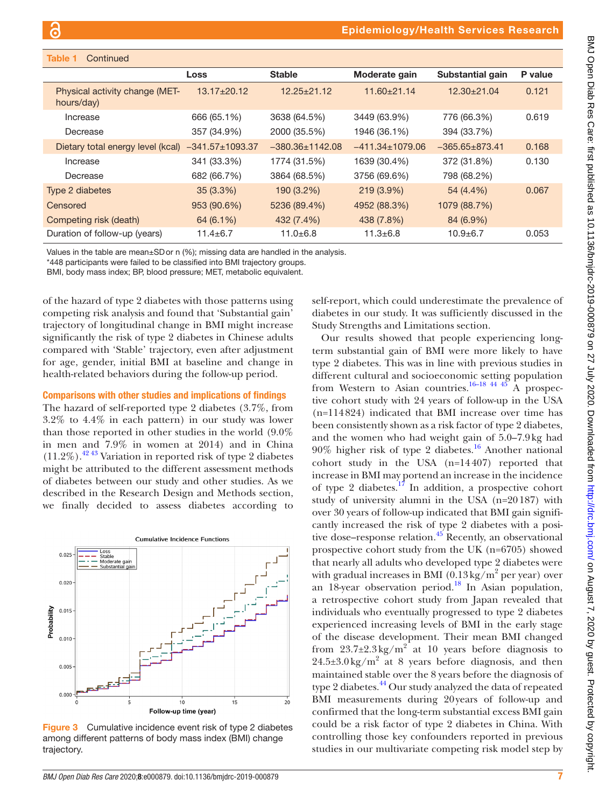| таріе т<br>Continued                         |                       |                       |                       |                      |         |
|----------------------------------------------|-----------------------|-----------------------|-----------------------|----------------------|---------|
|                                              | Loss                  | <b>Stable</b>         | Moderate gain         | Substantial gain     | P value |
| Physical activity change (MET-<br>hours/day) | $13.17 \pm 20.12$     | $12.25 \pm 21.12$     | $11.60 \pm 21.14$     | $12.30 \pm 21.04$    | 0.121   |
| Increase                                     | 666 (65.1%)           | 3638 (64.5%)          | 3449 (63.9%)          | 776 (66.3%)          | 0.619   |
| Decrease                                     | 357 (34.9%)           | 2000 (35.5%)          | 1946 (36.1%)          | 394 (33.7%)          |         |
| Dietary total energy level (kcal)            | $-341.57 \pm 1093.37$ | $-380.36 \pm 1142.08$ | $-411.34 \pm 1079.06$ | $-365.65 \pm 873.41$ | 0.168   |
| Increase                                     | 341 (33.3%)           | 1774 (31.5%)          | 1639 (30.4%)          | 372 (31.8%)          | 0.130   |
| Decrease                                     | 682 (66.7%)           | 3864 (68.5%)          | 3756 (69.6%)          | 798 (68.2%)          |         |
| Type 2 diabetes                              | 35(3.3%)              | 190 (3.2%)            | $219(3.9\%)$          | 54 (4.4%)            | 0.067   |
| Censored                                     | 953 (90.6%)           | 5236 (89.4%)          | 4952 (88.3%)          | 1079 (88.7%)         |         |
| Competing risk (death)                       | 64 (6.1%)             | 432 (7.4%)            | 438 (7.8%)            | 84 (6.9%)            |         |
| Duration of follow-up (years)                | $11.4 \pm 6.7$        | $11.0 + 6.8$          | $11.3 + 6.8$          | $10.9 + 6.7$         | 0.053   |

Table 1 Continued

Values in the table are mean±SDor n (%); missing data are handled in the analysis.

\*448 participants were failed to be classified into BMI trajectory groups.

BMI, body mass index; BP, blood pressure; MET, metabolic equivalent.

of the hazard of type 2 diabetes with those patterns using competing risk analysis and found that 'Substantial gain' trajectory of longitudinal change in BMI might increase significantly the risk of type 2 diabetes in Chinese adults compared with 'Stable' trajectory, even after adjustment for age, gender, initial BMI at baseline and change in health-related behaviors during the follow-up period.

#### Comparisons with other studies and implications of findings

The hazard of self-reported type 2 diabetes (3.7%, from 3.2% to 4.4% in each pattern) in our study was lower than those reported in other studies in the world (9.0% in men and 7.9% in women at 2014) and in China  $(11.2\%)$ .<sup>[42 43](#page-9-28)</sup> Variation in reported risk of type 2 diabetes might be attributed to the different assessment methods of diabetes between our study and other studies. As we described in the Research Design and Methods section, we finally decided to assess diabetes according to



<span id="page-6-0"></span>Figure 3 Cumulative incidence event risk of type 2 diabetes among different patterns of body mass index (BMI) change trajectory.

self-report, which could underestimate the prevalence of diabetes in our study. It was sufficiently discussed in the Study Strengths and Limitations section.

Our results showed that people experiencing longterm substantial gain of BMI were more likely to have type 2 diabetes. This was in line with previous studies in different cultural and socioeconomic setting population from Western to Asian countries.<sup>16–18</sup> <sup>44</sup> <sup>45</sup> A prospective cohort study with 24 years of follow-up in the USA (n=114824) indicated that BMI increase over time has been consistently shown as a risk factor of type 2 diabetes, and the women who had weight gain of 5.0–7.9kg had  $90\%$  higher risk of type 2 diabetes.<sup>16</sup> Another national cohort study in the USA (n=14407) reported that increase in BMI may portend an increase in the incidence of type 2 diabetes. $^{17}$  $^{17}$  $^{17}$  In addition, a prospective cohort study of university alumni in the USA (n=20187) with over 30 years of follow-up indicated that BMI gain significantly increased the risk of type 2 diabetes with a positive dose–response relation. $45$  Recently, an observational prospective cohort study from the UK (n=6705) showed that nearly all adults who developed type 2 diabetes were with gradual increases in BMI  $(0.13 \text{ kg/m}^2 \text{ per year})$  over an 18-year observation period.<sup>18</sup> In Asian population, a retrospective cohort study from Japan revealed that individuals who eventually progressed to type 2 diabetes experienced increasing levels of BMI in the early stage of the disease development. Their mean BMI changed from  $23.7\pm2.3\,\mathrm{kg/m}^2$  at 10 years before diagnosis to  $24.5\pm3.0\,\mathrm{kg/m^2}$  at 8 years before diagnosis, and then maintained stable over the 8 years before the diagnosis of type 2 diabetes.<sup>44</sup> Our study analyzed the data of repeated BMI measurements during 20years of follow-up and confirmed that the long-term substantial excess BMI gain could be a risk factor of type 2 diabetes in China. With controlling those key confounders reported in previous studies in our multivariate competing risk model step by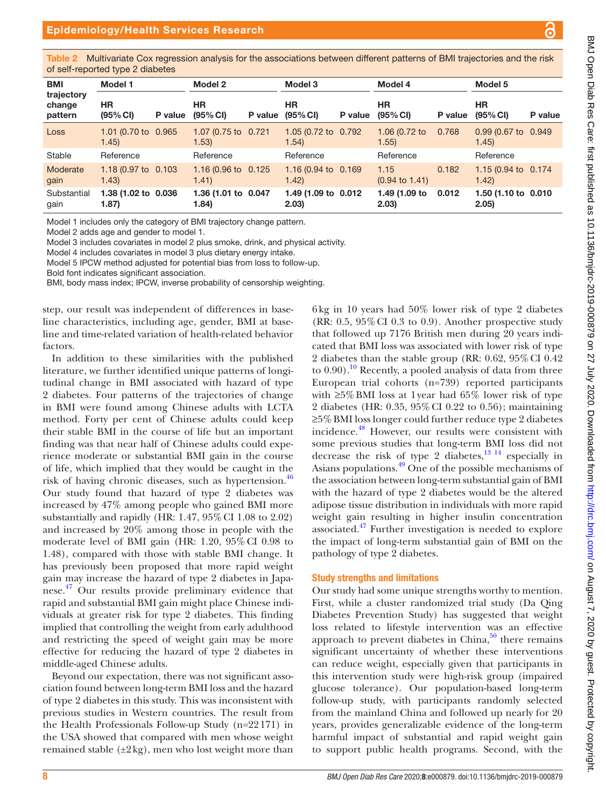<span id="page-7-0"></span>Table 2 Multivariate Cox regression analysis for the associations between different patterns of BMI trajectories and the risk of self-reported type 2 diabetes

| <b>BMI</b><br>trajectory<br>change<br>pattern | Model 1                                  |         | Model 2                          |  | Model 3                                  |         | Model 4                           |         | Model 5                       |         |
|-----------------------------------------------|------------------------------------------|---------|----------------------------------|--|------------------------------------------|---------|-----------------------------------|---------|-------------------------------|---------|
|                                               | ΗR<br>(95% CI)                           | P value | HR.<br>(95% CI)                  |  | <b>HR</b><br>P value $(95\% \text{ Cl})$ | P value | HR<br>(95% CI)                    | P value | <b>HR</b><br>(95% CI)         | P value |
| <b>Loss</b>                                   | 1.01 (0.70 to 0.965)<br>1.45)            |         | 1.07 (0.75 to 0.721)<br>1.53)    |  | 1.05 (0.72 to 0.792)<br>1.54)            |         | 1.06 $(0.72)$ to<br>1.55          | 0.768   | 0.99 (0.67 to 0.949)<br>1.45  |         |
| Stable                                        | Reference                                |         | Reference                        |  | Reference                                |         | Reference                         |         | Reference                     |         |
| Moderate<br>gain                              | 1.18 $(0.97 \text{ to } 0.103)$<br>1.43) |         | 1.16 (0.96 to $0.125$ )<br>1.41) |  | 1.16 $(0.94 \text{ to } 0.169)$<br>1.42) |         | 1.15<br>$(0.94 \text{ to } 1.41)$ | 0.182   | 1.15 (0.94 to 0.174)<br>1.42) |         |
| Substantial<br>gain                           | 1.38 (1.02 to 0.036)<br>1.87)            |         | 1.36 (1.01 to 0.047)<br>1.84)    |  | 1.49 (1.09 to 0.012)<br>2.03)            |         | 1.49 (1.09 to<br>2.03)            | 0.012   | 1.50 (1.10 to 0.010)<br>2.05) |         |

Model 1 includes only the category of BMI trajectory change pattern.

Model 2 adds age and gender to model 1.

Model 3 includes covariates in model 2 plus smoke, drink, and physical activity.

Model 4 includes covariates in model 3 plus dietary energy intake.

Model 5 IPCW method adjusted for potential bias from loss to follow-up.

Bold font indicates significant association.

BMI, body mass index; IPCW, inverse probability of censorship weighting.

step, our result was independent of differences in baseline characteristics, including age, gender, BMI at baseline and time-related variation of health-related behavior factors.

In addition to these similarities with the published literature, we further identified unique patterns of longitudinal change in BMI associated with hazard of type 2 diabetes. Four patterns of the trajectories of change in BMI were found among Chinese adults with LCTA method. Forty per cent of Chinese adults could keep their stable BMI in the course of life but an important finding was that near half of Chinese adults could experience moderate or substantial BMI gain in the course of life, which implied that they would be caught in the risk of having chronic diseases, such as hypertension.<sup>46</sup> Our study found that hazard of type 2 diabetes was increased by 47% among people who gained BMI more substantially and rapidly (HR: 1.47, 95% CI 1.08 to 2.02) and increased by 20% among those in people with the moderate level of BMI gain (HR: 1.20, 95%CI 0.98 to 1.48), compared with those with stable BMI change. It has previously been proposed that more rapid weight gain may increase the hazard of type 2 diabetes in Japa-nese.<sup>[47](#page-9-34)</sup> Our results provide preliminary evidence that rapid and substantial BMI gain might place Chinese individuals at greater risk for type 2 diabetes. This finding implied that controlling the weight from early adulthood and restricting the speed of weight gain may be more effective for reducing the hazard of type 2 diabetes in middle-aged Chinese adults.

Beyond our expectation, there was not significant association found between long-term BMI loss and the hazard of type 2 diabetes in this study. This was inconsistent with previous studies in Western countries. The result from the Health Professionals Follow-up Study (n=22171) in the USA showed that compared with men whose weight remained stable  $(\pm 2 \text{ kg})$ , men who lost weight more than

6kg in 10 years had 50% lower risk of type 2 diabetes (RR: 0.5, 95%CI 0.3 to 0.9). Another prospective study that followed up 7176 British men during 20 years indicated that BMI loss was associated with lower risk of type 2 diabetes than the stable group (RR: 0.62, 95%CI 0.42 to  $0.90$ ).<sup>10</sup> Recently, a pooled analysis of data from three European trial cohorts (n=739) reported participants with  $\geq$ 5% BMI loss at 1 year had 65% lower risk of type 2 diabetes (HR: 0.35, 95%CI 0.22 to 0.56); maintaining ≥5%BMI loss longer could further reduce type 2 diabetes incidence.<sup>48</sup> However, our results were consistent with some previous studies that long-term BMI loss did not decrease the risk of type 2 diabetes,  $\frac{13 \times 14}{13}$  especially in Asians populations[.49](#page-10-1) One of the possible mechanisms of the association between long-term substantial gain of BMI with the hazard of type 2 diabetes would be the altered adipose tissue distribution in individuals with more rapid weight gain resulting in higher insulin concentration associated.<sup>[47](#page-9-34)</sup> Further investigation is needed to explore the impact of long-term substantial gain of BMI on the pathology of type 2 diabetes.

# Study strengths and limitations

Our study had some unique strengths worthy to mention. First, while a cluster randomized trial study (Da Qing Diabetes Prevention Study) has suggested that weight loss related to lifestyle intervention was an effective approach to prevent diabetes in China, $5<sup>6</sup>$  there remains significant uncertainty of whether these interventions can reduce weight, especially given that participants in this intervention study were high-risk group (impaired glucose tolerance). Our population-based long-term follow-up study, with participants randomly selected from the mainland China and followed up nearly for 20 years, provides generalizable evidence of the long-term harmful impact of substantial and rapid weight gain to support public health programs. Second, with the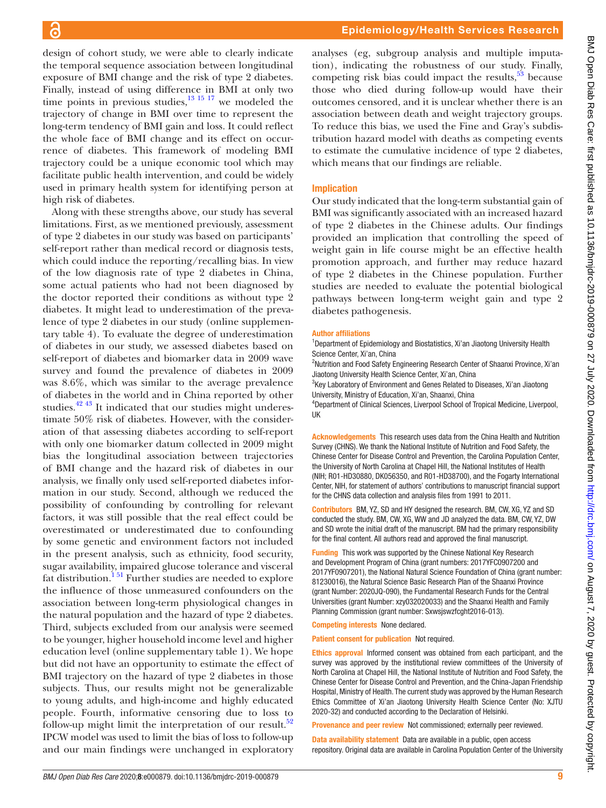design of cohort study, we were able to clearly indicate the temporal sequence association between longitudinal exposure of BMI change and the risk of type 2 diabetes. Finally, instead of using difference in BMI at only two time points in previous studies, $13 15 17$  we modeled the trajectory of change in BMI over time to represent the long-term tendency of BMI gain and loss. It could reflect the whole face of BMI change and its effect on occurrence of diabetes. This framework of modeling BMI trajectory could be a unique economic tool which may facilitate public health intervention, and could be widely used in primary health system for identifying person at high risk of diabetes.

Along with these strengths above, our study has several limitations. First, as we mentioned previously, assessment of type 2 diabetes in our study was based on participants' self-report rather than medical record or diagnosis tests, which could induce the reporting/recalling bias. In view of the low diagnosis rate of type 2 diabetes in China, some actual patients who had not been diagnosed by the doctor reported their conditions as without type 2 diabetes. It might lead to underestimation of the prevalence of type 2 diabetes in our study ([online supplemen](https://dx.doi.org/10.1136/bmjdrc-2019-000879)[tary table 4](https://dx.doi.org/10.1136/bmjdrc-2019-000879)). To evaluate the degree of underestimation of diabetes in our study, we assessed diabetes based on self-report of diabetes and biomarker data in 2009 wave survey and found the prevalence of diabetes in 2009 was 8.6%, which was similar to the average prevalence of diabetes in the world and in China reported by other studies.<sup>42 43</sup> It indicated that our studies might underestimate 50% risk of diabetes. However, with the consideration of that assessing diabetes according to self-report with only one biomarker datum collected in 2009 might bias the longitudinal association between trajectories of BMI change and the hazard risk of diabetes in our analysis, we finally only used self-reported diabetes information in our study. Second, although we reduced the possibility of confounding by controlling for relevant factors, it was still possible that the real effect could be overestimated or underestimated due to confounding by some genetic and environment factors not included in the present analysis, such as ethnicity, food security, sugar availability, impaired glucose tolerance and visceral fat distribution.<sup>151</sup> Further studies are needed to explore the influence of those unmeasured confounders on the association between long-term physiological changes in the natural population and the hazard of type 2 diabetes. Third, subjects excluded from our analysis were seemed to be younger, higher household income level and higher education level [\(online supplementary table 1\)](https://dx.doi.org/10.1136/bmjdrc-2019-000879). We hope but did not have an opportunity to estimate the effect of BMI trajectory on the hazard of type 2 diabetes in those subjects. Thus, our results might not be generalizable to young adults, and high-income and highly educated people. Fourth, informative censoring due to loss to follow-up might limit the interpretation of our result. $52$ IPCW model was used to limit the bias of loss to follow-up and our main findings were unchanged in exploratory

analyses (eg, subgroup analysis and multiple imputation), indicating the robustness of our study. Finally, competing risk bias could impact the results,  $53$  because those who died during follow-up would have their outcomes censored, and it is unclear whether there is an association between death and weight trajectory groups. To reduce this bias, we used the Fine and Gray's subdistribution hazard model with deaths as competing events to estimate the cumulative incidence of type 2 diabetes, which means that our findings are reliable.

#### Implication

Our study indicated that the long-term substantial gain of BMI was significantly associated with an increased hazard of type 2 diabetes in the Chinese adults. Our findings provided an implication that controlling the speed of weight gain in life course might be an effective health promotion approach, and further may reduce hazard of type 2 diabetes in the Chinese population. Further studies are needed to evaluate the potential biological pathways between long-term weight gain and type 2 diabetes pathogenesis.

#### Author affiliations

<sup>1</sup>Department of Epidemiology and Biostatistics, Xi'an Jiaotong University Health Science Center, Xi'an, China

<sup>2</sup>Nutrition and Food Safety Engineering Research Center of Shaanxi Province, Xi'an Jiaotong University Health Science Center, Xi'an, China

<sup>3</sup>Key Laboratory of Environment and Genes Related to Diseases, Xi'an Jiaotong University, Ministry of Education, Xi'an, Shaanxi, China

4 Department of Clinical Sciences, Liverpool School of Tropical Medicine, Liverpool, UK

Acknowledgements This research uses data from the China Health and Nutrition Survey (CHNS). We thank the National Institute of Nutrition and Food Safety, the Chinese Center for Disease Control and Prevention, the Carolina Population Center, the University of North Carolina at Chapel Hill, the National Institutes of Health (NIH; R01-HD30880, DK056350, and R01-HD38700), and the Fogarty International Center, NIH, for statement of authors' contributions to manuscript financial support for the CHNS data collection and analysis files from 1991 to 2011.

Contributors BM, YZ, SD and HY designed the research. BM, CW, XG, YZ and SD conducted the study. BM, CW, XG, WW and JD analyzed the data. BM, CW, YZ, DW and SD wrote the initial draft of the manuscript. BM had the primary responsibility for the final content. All authors read and approved the final manuscript.

Funding This work was supported by the Chinese National Key Research and Development Program of China (grant numbers: 2017YFC0907200 and 2017YF0907201), the National Natural Science Foundation of China (grant number: 81230016), the Natural Science Basic Research Plan of the Shaanxi Province (grant Number: 2020JQ-090), the Fundamental Research Funds for the Central Universities (grant Number: xzy032020033) and the Shaanxi Health and Family Planning Commission (grant number: Sxwsjswzfcght2016-013).

Competing interests None declared.

Patient consent for publication Not required.

Ethics approval Informed consent was obtained from each participant, and the survey was approved by the institutional review committees of the University of North Carolina at Chapel Hill, the National Institute of Nutrition and Food Safety, the Chinese Center for Disease Control and Prevention, and the China-Japan Friendship Hospital, Ministry of Health. The current study was approved by the Human Research Ethics Committee of Xi'an Jiaotong University Health Science Center (No: XJTU 2020-32) and conducted according to the Declaration of Helsinki.

Provenance and peer review Not commissioned; externally peer reviewed.

Data availability statement Data are available in a public, open access repository. Original data are available in Carolina Population Center of the University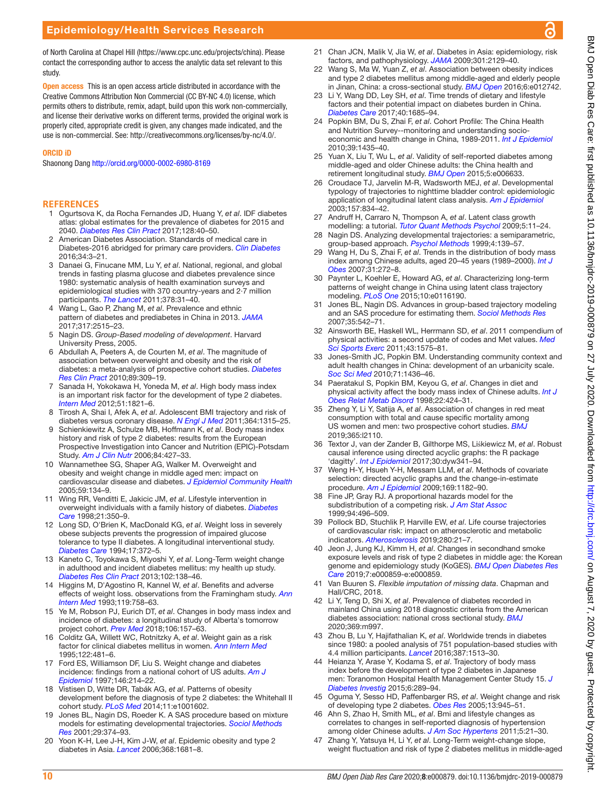BMJ Open Diab Res Care: first published as 10.1136/bmjdrc-2019-000879 on 27 July 2020. Downloaded from Downloaded from Diab Res Care: Frotected by copyright.

of North Carolina at Chapel Hill (<https://www.cpc.unc.edu/projects/china>). Please contact the corresponding author to access the analytic data set relevant to this study.

**Open access** This is an open access article distributed in accordance with the Creative Commons Attribution Non Commercial (CC BY-NC 4.0) license, which permits others to distribute, remix, adapt, build upon this work non-commercially, and license their derivative works on different terms, provided the original work is properly cited, appropriate credit is given, any changes made indicated, and the use is non-commercial. See:<http://creativecommons.org/licenses/by-nc/4.0/>.

#### ORCID iD

Shaonong Dang <http://orcid.org/0000-0002-6980-8169>

#### **REFERENCES**

- <span id="page-9-0"></span>1 Ogurtsova K, da Rocha Fernandes JD, Huang Y, *et al*. IDF diabetes atlas: global estimates for the prevalence of diabetes for 2015 and 2040. *[Diabetes Res Clin Pract](http://dx.doi.org/10.1016/j.diabres.2017.03.024)* 2017;128:40–50.
- <span id="page-9-1"></span>2 American Diabetes Association. Standards of medical care in Diabetes-2016 abridged for primary care providers. *[Clin Diabetes](http://dx.doi.org/10.2337/diaclin.34.1.3)* 2016;34:3–21.
- <span id="page-9-2"></span>3 Danaei G, Finucane MM, Lu Y, *et al*. National, regional, and global trends in fasting plasma glucose and diabetes prevalence since 1980: systematic analysis of health examination surveys and epidemiological studies with 370 country-years and 2·7 million participants. *[The Lancet](http://dx.doi.org/10.1016/S0140-6736(11)60679-X)* 2011;378:31–40.
- <span id="page-9-3"></span>4 Wang L, Gao P, Zhang M, *et al*. Prevalence and ethnic pattern of diabetes and prediabetes in China in 2013. *[JAMA](http://dx.doi.org/10.1001/jama.2017.7596)* 2017;317:2515–23.
- <span id="page-9-4"></span>5 Nagin DS. *Group-Based modeling of development*. Harvard University Press, 2005.
- <span id="page-9-5"></span>6 Abdullah A, Peeters A, de Courten M, *et al*. The magnitude of association between overweight and obesity and the risk of diabetes: a meta-analysis of prospective cohort studies. *[Diabetes](http://dx.doi.org/10.1016/j.diabres.2010.04.012)  [Res Clin Pract](http://dx.doi.org/10.1016/j.diabres.2010.04.012)* 2010;89:309–19.
- 7 Sanada H, Yokokawa H, Yoneda M, *et al*. High body mass index is an important risk factor for the development of type 2 diabetes. *[Intern Med](http://dx.doi.org/10.2169/internalmedicine.51.7410)* 2012;51:1821–6.
- 8 Tirosh A, Shai I, Afek A, *et al*. Adolescent BMI trajectory and risk of diabetes versus coronary disease. *[N Engl J Med](http://dx.doi.org/10.1056/NEJMoa1006992)* 2011;364:1315–25.
- <span id="page-9-6"></span>9 Schienkiewitz A, Schulze MB, Hoffmann K, *et al*. Body mass index history and risk of type 2 diabetes: results from the European Prospective Investigation into Cancer and Nutrition (EPIC)-Potsdam Study. *[Am J Clin Nutr](http://dx.doi.org/10.1093/ajcn/84.2.427)* 2006;84:427–33.
- <span id="page-9-7"></span>10 Wannamethee SG, Shaper AG, Walker M. Overweight and obesity and weight change in middle aged men: impact on cardiovascular disease and diabetes. *[J Epidemiol Community Health](http://dx.doi.org/10.1136/jech.2003.015651)* 2005;59:134–9.
- 11 Wing RR, Venditti E, Jakicic JM, *et al*. Lifestyle intervention in overweight individuals with a family history of diabetes. *[Diabetes](http://dx.doi.org/10.2337/diacare.21.3.350)  [Care](http://dx.doi.org/10.2337/diacare.21.3.350)* 1998;21:350–9.
- 12 Long SD, O'Brien K, MacDonald KG, *et al*. Weight loss in severely obese subjects prevents the progression of impaired glucose tolerance to type II diabetes. A longitudinal interventional study. *[Diabetes Care](http://dx.doi.org/10.2337/diacare.17.5.372)* 1994;17:372–5.
- <span id="page-9-8"></span>13 Kaneto C, Toyokawa S, Miyoshi Y, *et al*. Long-Term weight change in adulthood and incident diabetes mellitus: my health up study. *[Diabetes Res Clin Pract](http://dx.doi.org/10.1016/j.diabres.2013.08.011)* 2013;102:138–46.
- 14 Higgins M, D'Agostino R, Kannel W, *et al*. Benefits and adverse effects of weight loss. observations from the Framingham study. *[Ann](http://dx.doi.org/10.7326/0003-4819-119-7_Part_2-199310011-00025)  [Intern Med](http://dx.doi.org/10.7326/0003-4819-119-7_Part_2-199310011-00025)* 1993;119:758–63.
- <span id="page-9-9"></span>15 Ye M, Robson PJ, Eurich DT, *et al*. Changes in body mass index and incidence of diabetes: a longitudinal study of Alberta's tomorrow project cohort. *[Prev Med](http://dx.doi.org/10.1016/j.ypmed.2017.10.036)* 2018;106:157–63.
- <span id="page-9-10"></span>16 Colditz GA, Willett WC, Rotnitzky A, *et al*. Weight gain as a risk factor for clinical diabetes mellitus in women. *[Ann Intern Med](http://dx.doi.org/10.7326/0003-4819-122-7-199504010-00001)* 1995;122:481–6.
- <span id="page-9-29"></span>17 Ford ES, Williamson DF, Liu S. Weight change and diabetes incidence: findings from a national cohort of US adults. *[Am J](http://dx.doi.org/10.1093/oxfordjournals.aje.a009256)  [Epidemiol](http://dx.doi.org/10.1093/oxfordjournals.aje.a009256)* 1997;146:214–22.
- <span id="page-9-31"></span>18 Vistisen D, Witte DR, Tabák AG, *et al*. Patterns of obesity development before the diagnosis of type 2 diabetes: the Whitehall II cohort study. *[PLoS Med](http://dx.doi.org/10.1371/journal.pmed.1001602)* 2014;11:e1001602.
- <span id="page-9-11"></span>19 Jones BL, Nagin DS, Roeder K. A SAS procedure based on mixture models for estimating developmental trajectories. *[Sociol Methods](http://dx.doi.org/10.1177/0049124101029003005)  [Res](http://dx.doi.org/10.1177/0049124101029003005)* 2001;29:374–93.
- <span id="page-9-12"></span>20 Yoon K-H, Lee J-H, Kim J-W, *et al*. Epidemic obesity and type 2 diabetes in Asia. *[Lancet](http://dx.doi.org/10.1016/S0140-6736(06)69703-1)* 2006;368:1681–8.
- <span id="page-9-13"></span>21 Chan JCN, Malik V, Jia W, *et al*. Diabetes in Asia: epidemiology, risk factors, and pathophysiology. *[JAMA](http://dx.doi.org/10.1001/jama.2009.726)* 2009;301:2129–40.
- 22 Wang S, Ma W, Yuan Z, *et al*. Association between obesity indices and type 2 diabetes mellitus among middle-aged and elderly people in Jinan, China: a cross-sectional study. *[BMJ Open](http://dx.doi.org/10.1136/bmjopen-2016-012742)* 2016;6:e012742.
- <span id="page-9-14"></span>23 Li Y, Wang DD, Ley SH, *et al*. Time trends of dietary and lifestyle factors and their potential impact on diabetes burden in China. *[Diabetes Care](http://dx.doi.org/10.2337/dc17-0571)* 2017;40:1685–94.
- <span id="page-9-15"></span>24 Popkin BM, Du S, Zhai F, *et al*. Cohort Profile: The China Health and Nutrition Survey--monitoring and understanding socioeconomic and health change in China, 1989-2011. *[Int J Epidemiol](http://dx.doi.org/10.1093/ije/dyp322)* 2010;39:1435–40.
- <span id="page-9-16"></span>25 Yuan X, Liu T, Wu L, *et al*. Validity of self-reported diabetes among middle-aged and older Chinese adults: the China health and retirement longitudinal study. *[BMJ Open](http://dx.doi.org/10.1136/bmjopen-2014-006633)* 2015;5:e006633.
- <span id="page-9-17"></span>26 Croudace TJ, Jarvelin M-R, Wadsworth MEJ, *et al*. Developmental typology of trajectories to nighttime bladder control: epidemiologic application of longitudinal latent class analysis. *[Am J Epidemiol](http://dx.doi.org/10.1093/aje/kwg049)* 2003;157:834–42.
- <span id="page-9-20"></span>27 Andruff H, Carraro N, Thompson A, *et al*. Latent class growth modelling: a tutorial. *[Tutor Quant Methods Psychol](http://dx.doi.org/10.20982/tqmp.05.1.p011)* 2009;5:11–24.
- 28 Nagin DS. Analyzing developmental trajectories: a semiparametric, group-based approach. *[Psychol Methods](http://dx.doi.org/10.1037/1082-989X.4.2.139)* 1999;4:139–57.
- <span id="page-9-18"></span>29 Wang H, Du S, Zhai F, *et al*. Trends in the distribution of body mass index among Chinese adults, aged 20–45 years (1989–2000). *[Int J](http://dx.doi.org/10.1038/sj.ijo.0803416)  [Obes](http://dx.doi.org/10.1038/sj.ijo.0803416)* 2007;31:272–8.
- <span id="page-9-19"></span>30 Paynter L, Koehler E, Howard AG, *et al*. Characterizing long-term patterns of weight change in China using latent class trajectory modeling. *[PLoS One](http://dx.doi.org/10.1371/journal.pone.0116190)* 2015;10:e0116190.
- 31 Jones BL, Nagin DS. Advances in group-based trajectory modeling and an SAS procedure for estimating them. *[Sociol Methods Res](http://dx.doi.org/10.1177/0049124106292364)* 2007;35:542–71.
- <span id="page-9-21"></span>32 Ainsworth BE, Haskell WL, Herrmann SD, *et al*. 2011 compendium of physical activities: a second update of codes and Met values. *[Med](http://dx.doi.org/10.1249/MSS.0b013e31821ece12)  [Sci Sports Exerc](http://dx.doi.org/10.1249/MSS.0b013e31821ece12)* 2011;43:1575–81.
- 33 Jones-Smith JC, Popkin BM. Understanding community context and adult health changes in China: development of an urbanicity scale. *[Soc Sci Med](http://dx.doi.org/10.1016/j.socscimed.2010.07.027)* 2010;71:1436–46.
- <span id="page-9-22"></span>34 Paeratakul S, Popkin BM, Keyou G, *et al*. Changes in diet and physical activity affect the body mass index of Chinese adults. *[Int J](http://dx.doi.org/10.1038/sj.ijo.0800603)  [Obes Relat Metab Disord](http://dx.doi.org/10.1038/sj.ijo.0800603)* 1998;22:424–31.
- <span id="page-9-23"></span>35 Zheng Y, Li Y, Satija A, *et al*. Association of changes in red meat consumption with total and cause specific mortality among US women and men: two prospective cohort studies. *[BMJ](http://dx.doi.org/10.1136/bmj.l2110)* 2019;365:l2110.
- <span id="page-9-24"></span>36 Textor J, van der Zander B, Gilthorpe MS, Liśkiewicz M, *et al*. Robust causal inference using directed acyclic graphs: the R package 'dagitty'. *[Int J Epidemiol](http://dx.doi.org/10.1093/ije/dyw341)* 2017;30:dyw341–94.
- 37 Weng H-Y, Hsueh Y-H, Messam LLM, *et al*. Methods of covariate selection: directed acyclic graphs and the change-in-estimate procedure. *[Am J Epidemiol](http://dx.doi.org/10.1093/aje/kwp035)* 2009;169:1182–90.
- <span id="page-9-25"></span>38 Fine JP, Gray RJ. A proportional hazards model for the subdistribution of a competing risk. *[J Am Stat Assoc](http://dx.doi.org/10.1080/01621459.1999.10474144)* 1999;94:496–509.
- <span id="page-9-26"></span>39 Pollock BD, Stuchlik P, Harville EW, *et al*. Life course trajectories of cardiovascular risk: impact on atherosclerotic and metabolic indicators. *[Atherosclerosis](http://dx.doi.org/10.1016/j.atherosclerosis.2018.11.008)* 2019;280:21–7.
- 40 Jeon J, Jung KJ, Kimm H, *et al*. Changes in secondhand smoke exposure levels and risk of type 2 diabetes in middle age: the Korean genome and epidemiology study (KoGES). *[BMJ Open Diabetes Res](http://dx.doi.org/10.1136/bmjdrc-2019-000859)  [Care](http://dx.doi.org/10.1136/bmjdrc-2019-000859)* 2019;7:e000859-e:e000859.
- <span id="page-9-27"></span>41 Van Buuren S. *Flexible imputation of missing data*. Chapman and Hall/CRC, 2018.
- <span id="page-9-28"></span>42 Li Y, Teng D, Shi X, *et al*. Prevalence of diabetes recorded in mainland China using 2018 diagnostic criteria from the American diabetes association: national cross sectional study. *[BMJ](http://dx.doi.org/10.1136/bmj.m997)* 2020;369:m997.
- 43 Zhou B, Lu Y, Hajifathalian K, *et al*. Worldwide trends in diabetes since 1980: a pooled analysis of 751 population-based studies with 4.4 million participants. *[Lancet](http://dx.doi.org/10.1016/S0140-6736(16)00618-8)* 2016;387:1513–30.
- <span id="page-9-32"></span>44 Heianza Y, Arase Y, Kodama S, *et al*. Trajectory of body mass index before the development of type 2 diabetes in Japanese men: Toranomon Hospital Health Management Center Study 15. *[J](http://dx.doi.org/10.1111/jdi.12308)  [Diabetes Investig](http://dx.doi.org/10.1111/jdi.12308)* 2015;6:289–94.
- <span id="page-9-30"></span>45 Oguma Y, Sesso HD, Paffenbarger RS, *et al*. Weight change and risk of developing type 2 diabetes. *[Obes Res](http://dx.doi.org/10.1038/oby.2005.109)* 2005;13:945–51.
- <span id="page-9-33"></span>46 Ahn S, Zhao H, Smith ML, *et al*. Bmi and lifestyle changes as correlates to changes in self-reported diagnosis of hypertension among older Chinese adults. *[J Am Soc Hypertens](http://dx.doi.org/10.1016/j.jash.2010.12.001)* 2011;5:21–30.
- <span id="page-9-34"></span>47 Zhang Y, Yatsuya H, Li Y, *et al*. Long-Term weight-change slope, weight fluctuation and risk of type 2 diabetes mellitus in middle-aged